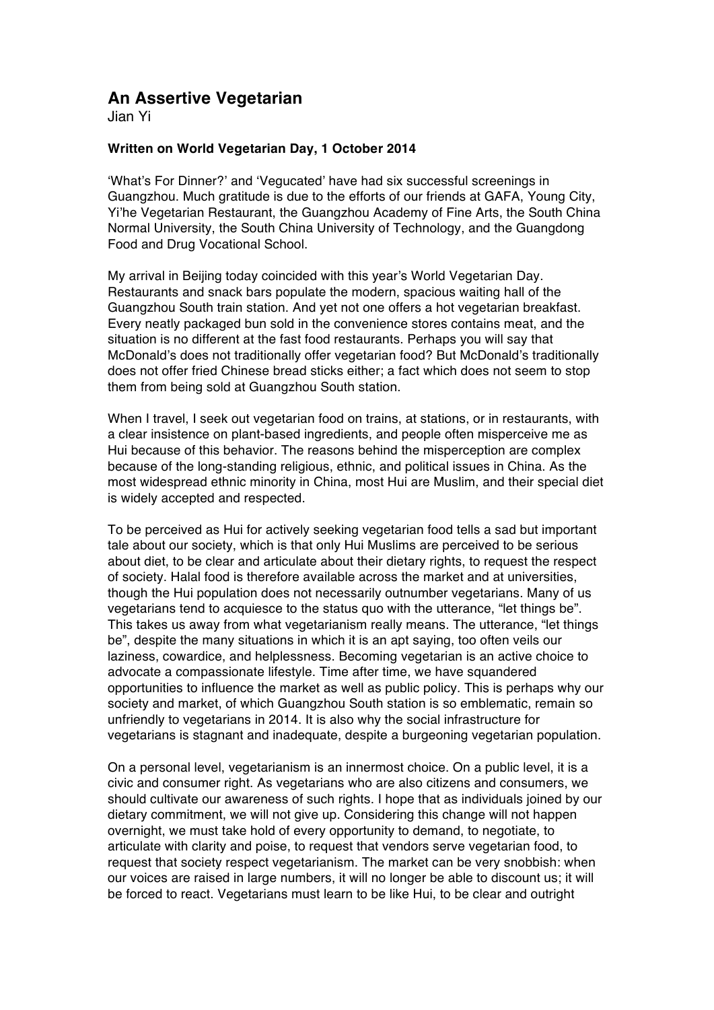## **An Assertive Vegetarian**

Jian Yi

## **Written on World Vegetarian Day, 1 October 2014**

'What's For Dinner?' and 'Vegucated' have had six successful screenings in Guangzhou. Much gratitude is due to the efforts of our friends at GAFA, Young City, Yi'he Vegetarian Restaurant, the Guangzhou Academy of Fine Arts, the South China Normal University, the South China University of Technology, and the Guangdong Food and Drug Vocational School.

My arrival in Beijing today coincided with this year's World Vegetarian Day. Restaurants and snack bars populate the modern, spacious waiting hall of the Guangzhou South train station. And yet not one offers a hot vegetarian breakfast. Every neatly packaged bun sold in the convenience stores contains meat, and the situation is no different at the fast food restaurants. Perhaps you will say that McDonald's does not traditionally offer vegetarian food? But McDonald's traditionally does not offer fried Chinese bread sticks either; a fact which does not seem to stop them from being sold at Guangzhou South station.

When I travel, I seek out vegetarian food on trains, at stations, or in restaurants, with a clear insistence on plant-based ingredients, and people often misperceive me as Hui because of this behavior. The reasons behind the misperception are complex because of the long-standing religious, ethnic, and political issues in China. As the most widespread ethnic minority in China, most Hui are Muslim, and their special diet is widely accepted and respected.

To be perceived as Hui for actively seeking vegetarian food tells a sad but important tale about our society, which is that only Hui Muslims are perceived to be serious about diet, to be clear and articulate about their dietary rights, to request the respect of society. Halal food is therefore available across the market and at universities, though the Hui population does not necessarily outnumber vegetarians. Many of us vegetarians tend to acquiesce to the status quo with the utterance, "let things be". This takes us away from what vegetarianism really means. The utterance, "let things be", despite the many situations in which it is an apt saying, too often veils our laziness, cowardice, and helplessness. Becoming vegetarian is an active choice to advocate a compassionate lifestyle. Time after time, we have squandered opportunities to influence the market as well as public policy. This is perhaps why our society and market, of which Guangzhou South station is so emblematic, remain so unfriendly to vegetarians in 2014. It is also why the social infrastructure for vegetarians is stagnant and inadequate, despite a burgeoning vegetarian population.

On a personal level, vegetarianism is an innermost choice. On a public level, it is a civic and consumer right. As vegetarians who are also citizens and consumers, we should cultivate our awareness of such rights. I hope that as individuals joined by our dietary commitment, we will not give up. Considering this change will not happen overnight, we must take hold of every opportunity to demand, to negotiate, to articulate with clarity and poise, to request that vendors serve vegetarian food, to request that society respect vegetarianism. The market can be very snobbish: when our voices are raised in large numbers, it will no longer be able to discount us; it will be forced to react. Vegetarians must learn to be like Hui, to be clear and outright